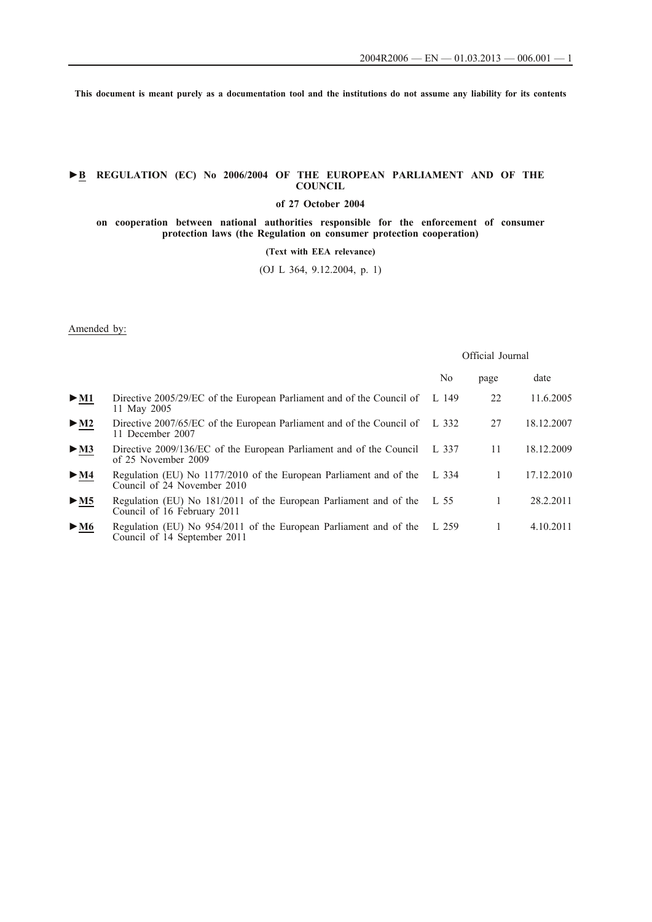**This document is meant purely as a documentation tool and the institutions do not assume any liability for its contents**

## **►B REGULATION (EC) No 2006/2004 OF THE EUROPEAN PARLIAMENT AND OF THE COUNCIL**

**of 27 October 2004**

**on cooperation between national authorities responsible for the enforcement of consumer protection laws (the Regulation on consumer protection cooperation)**

**(Text with EEA relevance)**

(OJ L 364, 9.12.2004, p. 1)

## Amended by:

|                                             |                                                                                                   | Official Journal |      |            |
|---------------------------------------------|---------------------------------------------------------------------------------------------------|------------------|------|------------|
|                                             |                                                                                                   | No               | page | date       |
| $\blacktriangleright$ <u>M1</u>             | Directive 2005/29/EC of the European Parliament and of the Council of<br>11 May 2005              | L $149$          | 22   | 11.6.2005  |
| $\blacktriangleright$ M2                    | Directive 2007/65/EC of the European Parliament and of the Council of<br>11 December 2007         | L 332            | 27   | 18.12.2007 |
| $\blacktriangleright$ <u>M3</u>             | Directive 2009/136/EC of the European Parliament and of the Council<br>of 25 November 2009        | L 337            | 11   | 18.12.2009 |
| $\blacktriangleright \underline{\text{M4}}$ | Regulation (EU) No 1177/2010 of the European Parliament and of the<br>Council of 24 November 2010 | L 334            | 1    | 17.12.2010 |
| > M5                                        | Regulation (EU) No 181/2011 of the European Parliament and of the<br>Council of 16 February 2011  | L 55             | 1    | 28.2.2011  |
| $\blacktriangleright$ M6                    | Regulation (EU) No 954/2011 of the European Parliament and of the<br>Council of 14 September 2011 | L 259            |      | 4.10.2011  |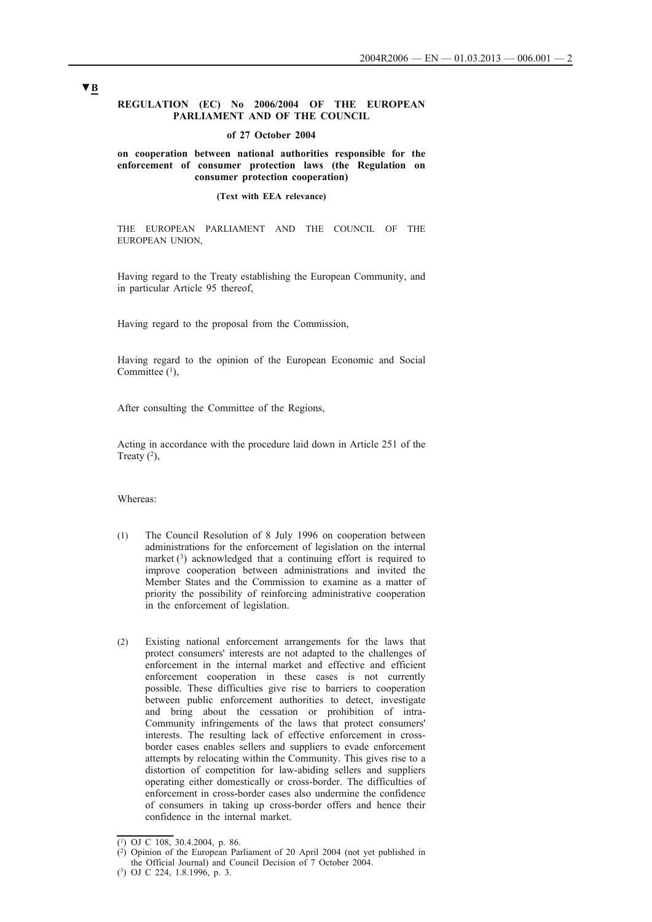## **REGULATION (EC) No 2006/2004 OF THE EUROPEAN PARLIAMENT AND OF THE COUNCIL**

## **of 27 October 2004**

## **on cooperation between national authorities responsible for the enforcement of consumer protection laws (the Regulation on consumer protection cooperation)**

### **(Text with EEA relevance)**

THE EUROPEAN PARLIAMENT AND THE COUNCIL OF THE EUROPEAN UNION,

Having regard to the Treaty establishing the European Community, and in particular Article 95 thereof,

Having regard to the proposal from the Commission,

Having regard to the opinion of the European Economic and Social Committee  $(1)$ ,

After consulting the Committee of the Regions,

Acting in accordance with the procedure laid down in Article 251 of the Treaty  $(2)$ ,

Whereas:

- (1) The Council Resolution of 8 July 1996 on cooperation between administrations for the enforcement of legislation on the internal market  $(3)$  acknowledged that a continuing effort is required to improve cooperation between administrations and invited the Member States and the Commission to examine as a matter of priority the possibility of reinforcing administrative cooperation in the enforcement of legislation.
- (2) Existing national enforcement arrangements for the laws that protect consumers' interests are not adapted to the challenges of enforcement in the internal market and effective and efficient enforcement cooperation in these cases is not currently possible. These difficulties give rise to barriers to cooperation between public enforcement authorities to detect, investigate and bring about the cessation or prohibition of intra-Community infringements of the laws that protect consumers' interests. The resulting lack of effective enforcement in crossborder cases enables sellers and suppliers to evade enforcement attempts by relocating within the Community. This gives rise to a distortion of competition for law-abiding sellers and suppliers operating either domestically or cross-border. The difficulties of enforcement in cross-border cases also undermine the confidence of consumers in taking up cross-border offers and hence their confidence in the internal market.

<sup>(1)</sup> OJ C 108, 30.4.2004, p. 86.

<sup>(2)</sup> Opinion of the European Parliament of 20 April 2004 (not yet published in the Official Journal) and Council Decision of 7 October 2004.

<sup>(3)</sup> OJ C 224, 1.8.1996, p. 3.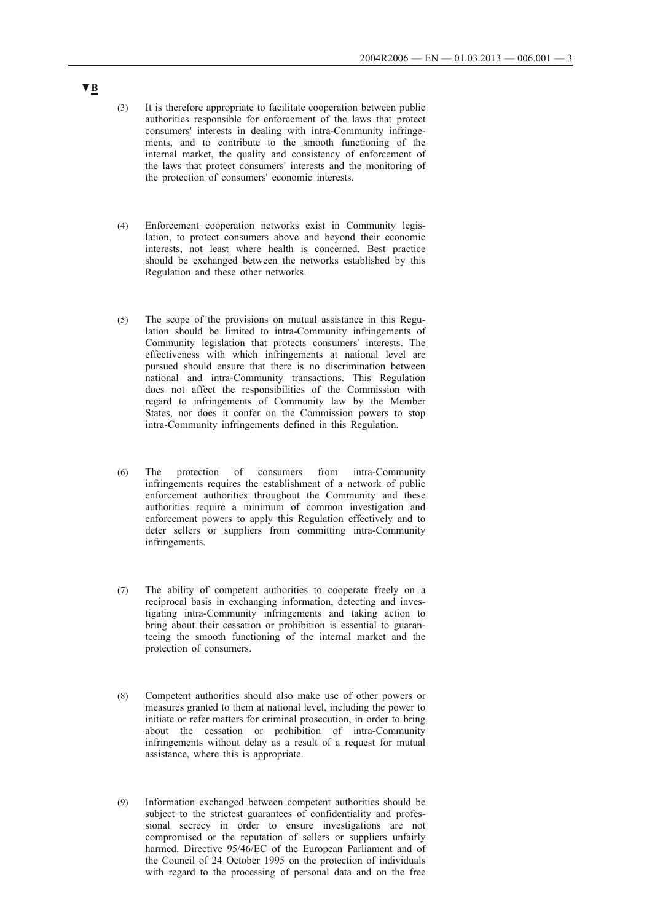- (3) It is therefore appropriate to facilitate cooperation between public authorities responsible for enforcement of the laws that protect consumers' interests in dealing with intra-Community infringements, and to contribute to the smooth functioning of the internal market, the quality and consistency of enforcement of the laws that protect consumers' interests and the monitoring of the protection of consumers' economic interests.
- (4) Enforcement cooperation networks exist in Community legislation, to protect consumers above and beyond their economic interests, not least where health is concerned. Best practice should be exchanged between the networks established by this Regulation and these other networks.
- (5) The scope of the provisions on mutual assistance in this Regulation should be limited to intra-Community infringements of Community legislation that protects consumers' interests. The effectiveness with which infringements at national level are pursued should ensure that there is no discrimination between national and intra-Community transactions. This Regulation does not affect the responsibilities of the Commission with regard to infringements of Community law by the Member States, nor does it confer on the Commission powers to stop intra-Community infringements defined in this Regulation.
- (6) The protection of consumers from intra-Community infringements requires the establishment of a network of public enforcement authorities throughout the Community and these authorities require a minimum of common investigation and enforcement powers to apply this Regulation effectively and to deter sellers or suppliers from committing intra-Community infringements.
- (7) The ability of competent authorities to cooperate freely on a reciprocal basis in exchanging information, detecting and investigating intra-Community infringements and taking action to bring about their cessation or prohibition is essential to guaranteeing the smooth functioning of the internal market and the protection of consumers.
- (8) Competent authorities should also make use of other powers or measures granted to them at national level, including the power to initiate or refer matters for criminal prosecution, in order to bring about the cessation or prohibition of intra-Community infringements without delay as a result of a request for mutual assistance, where this is appropriate.
- (9) Information exchanged between competent authorities should be subject to the strictest guarantees of confidentiality and professional secrecy in order to ensure investigations are not compromised or the reputation of sellers or suppliers unfairly harmed. Directive 95/46/EC of the European Parliament and of the Council of 24 October 1995 on the protection of individuals with regard to the processing of personal data and on the free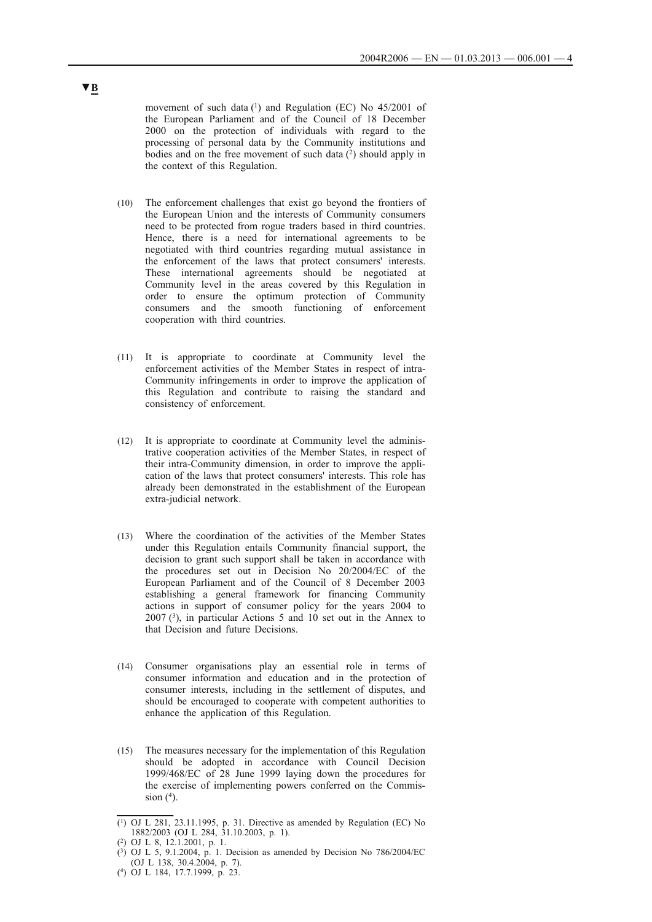movement of such data  $(1)$  and Regulation (EC) No 45/2001 of the European Parliament and of the Council of 18 December 2000 on the protection of individuals with regard to the processing of personal data by the Community institutions and bodies and on the free movement of such data  $(2)$  should apply in the context of this Regulation.

- (10) The enforcement challenges that exist go beyond the frontiers of the European Union and the interests of Community consumers need to be protected from rogue traders based in third countries. Hence, there is a need for international agreements to be negotiated with third countries regarding mutual assistance in the enforcement of the laws that protect consumers' interests. These international agreements should be negotiated at Community level in the areas covered by this Regulation in order to ensure the optimum protection of Community consumers and the smooth functioning of enforcement cooperation with third countries.
- (11) It is appropriate to coordinate at Community level the enforcement activities of the Member States in respect of intra-Community infringements in order to improve the application of this Regulation and contribute to raising the standard and consistency of enforcement.
- (12) It is appropriate to coordinate at Community level the administrative cooperation activities of the Member States, in respect of their intra-Community dimension, in order to improve the application of the laws that protect consumers' interests. This role has already been demonstrated in the establishment of the European extra-judicial network.
- (13) Where the coordination of the activities of the Member States under this Regulation entails Community financial support, the decision to grant such support shall be taken in accordance with the procedures set out in Decision No 20/2004/EC of the European Parliament and of the Council of 8 December 2003 establishing a general framework for financing Community actions in support of consumer policy for the years 2004 to 2007 (3), in particular Actions 5 and 10 set out in the Annex to that Decision and future Decisions.
- (14) Consumer organisations play an essential role in terms of consumer information and education and in the protection of consumer interests, including in the settlement of disputes, and should be encouraged to cooperate with competent authorities to enhance the application of this Regulation.
- (15) The measures necessary for the implementation of this Regulation should be adopted in accordance with Council Decision 1999/468/EC of 28 June 1999 laying down the procedures for the exercise of implementing powers conferred on the Commission  $(^4)$ .

 $(1)$  OJ L 281, 23.11.1995, p. 31. Directive as amended by Regulation (EC) No 1882/2003 (OJ L 284, 31.10.2003, p. 1).

<sup>(2)</sup> OJ L 8, 12.1.2001, p. 1.

 $(3)$  OJ L 5, 9.1.2004, p. 1. Decision as amended by Decision No 786/2004/EC (OJ L 138, 30.4.2004, p. 7).

<sup>(4)</sup> OJ L 184, 17.7.1999, p. 23.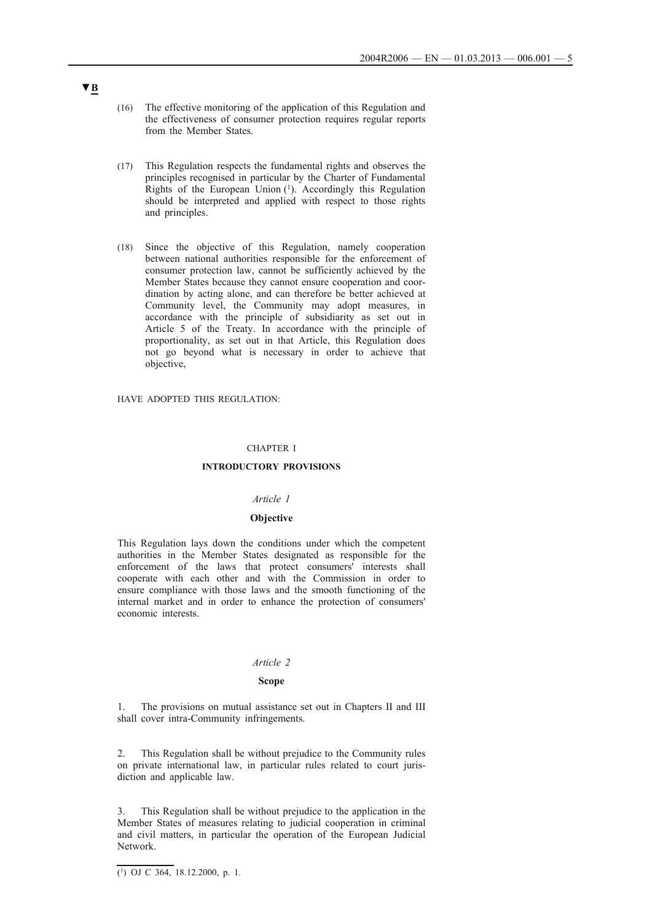- (16) The effective monitoring of the application of this Regulation and the effectiveness of consumer protection requires regular reports from the Member States.
- (17) This Regulation respects the fundamental rights and observes the principles recognised in particular by the Charter of Fundamental Rights of the European Union (1). Accordingly this Regulation should be interpreted and applied with respect to those rights and principles.
- (18) Since the objective of this Regulation, namely cooperation between national authorities responsible for the enforcement of consumer protection law, cannot be sufficiently achieved by the Member States because they cannot ensure cooperation and coordination by acting alone, and can therefore be better achieved at Community level, the Community may adopt measures, in accordance with the principle of subsidiarity as set out in Article 5 of the Treaty. In accordance with the principle of proportionality, as set out in that Article, this Regulation does not go beyond what is necessary in order to achieve that objective,

HAVE ADOPTED THIS REGULATION:

### CHAPTER I

### **INTRODUCTORY PROVISIONS**

### *Article 1*

#### **Objective**

This Regulation lays down the conditions under which the competent authorities in the Member States designated as responsible for the enforcement of the laws that protect consumers' interests shall cooperate with each other and with the Commission in order to ensure compliance with those laws and the smooth functioning of the internal market and in order to enhance the protection of consumers' economic interests.

## *Article 2*

#### **Scope**

1. The provisions on mutual assistance set out in Chapters II and III shall cover intra-Community infringements.

2. This Regulation shall be without prejudice to the Community rules on private international law, in particular rules related to court jurisdiction and applicable law.

3. This Regulation shall be without prejudice to the application in the Member States of measures relating to judicial cooperation in criminal and civil matters, in particular the operation of the European Judicial Network.

 $\overline{(^1)}$  OJ C 364, 18.12.2000, p. 1.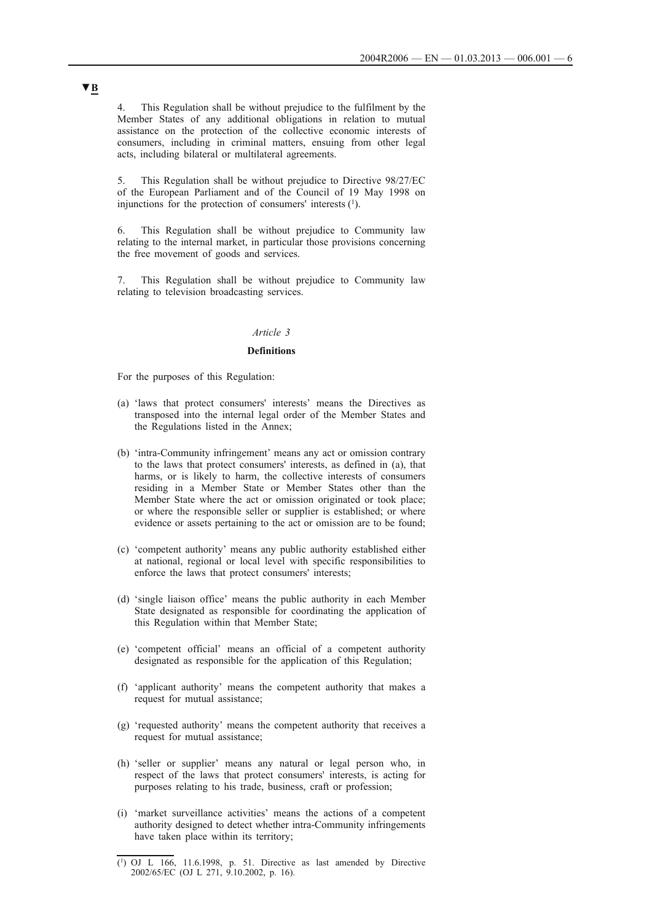4. This Regulation shall be without prejudice to the fulfilment by the Member States of any additional obligations in relation to mutual assistance on the protection of the collective economic interests of consumers, including in criminal matters, ensuing from other legal acts, including bilateral or multilateral agreements.

5. This Regulation shall be without prejudice to Directive 98/27/EC of the European Parliament and of the Council of 19 May 1998 on injunctions for the protection of consumers' interests (1).

6. This Regulation shall be without prejudice to Community law relating to the internal market, in particular those provisions concerning the free movement of goods and services.

7. This Regulation shall be without prejudice to Community law relating to television broadcasting services.

## *Article 3*

### **Definitions**

For the purposes of this Regulation:

- (a) 'laws that protect consumers' interests' means the Directives as transposed into the internal legal order of the Member States and the Regulations listed in the Annex;
- (b) 'intra-Community infringement' means any act or omission contrary to the laws that protect consumers' interests, as defined in (a), that harms, or is likely to harm, the collective interests of consumers residing in a Member State or Member States other than the Member State where the act or omission originated or took place; or where the responsible seller or supplier is established; or where evidence or assets pertaining to the act or omission are to be found;
- (c) 'competent authority' means any public authority established either at national, regional or local level with specific responsibilities to enforce the laws that protect consumers' interests;
- (d) 'single liaison office' means the public authority in each Member State designated as responsible for coordinating the application of this Regulation within that Member State;
- (e) 'competent official' means an official of a competent authority designated as responsible for the application of this Regulation;
- (f) 'applicant authority' means the competent authority that makes a request for mutual assistance;
- (g) 'requested authority' means the competent authority that receives a request for mutual assistance;
- (h) 'seller or supplier' means any natural or legal person who, in respect of the laws that protect consumers' interests, is acting for purposes relating to his trade, business, craft or profession;
- (i) 'market surveillance activities' means the actions of a competent authority designed to detect whether intra-Community infringements have taken place within its territory;

<sup>(1)</sup> OJ L 166, 11.6.1998, p. 51. Directive as last amended by Directive 2002/65/EC (OJ L 271, 9.10.2002, p. 16).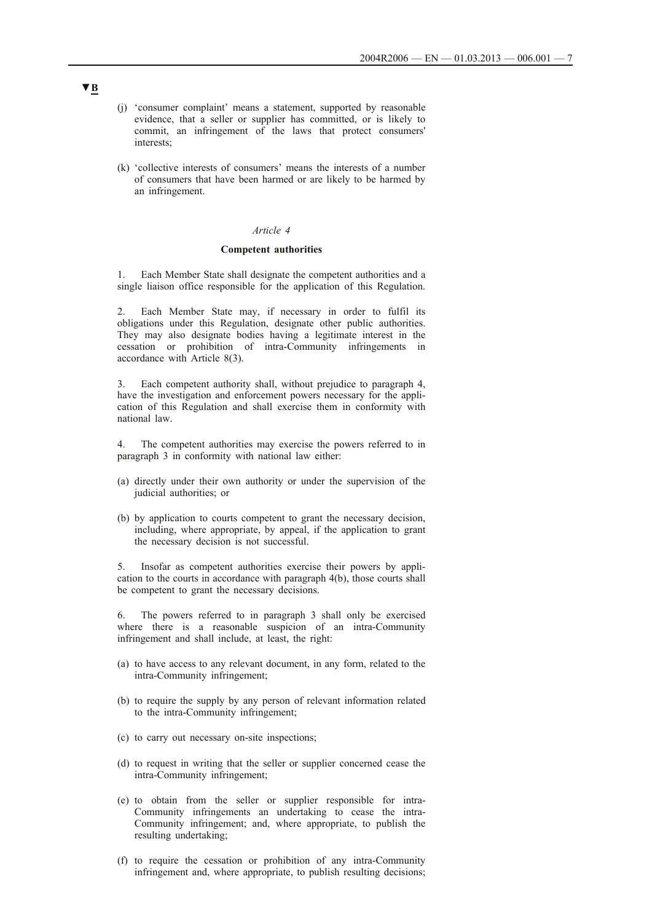- (j) 'consumer complaint' means a statement, supported by reasonable evidence, that a seller or supplier has committed, or is likely to commit, an infringement of the laws that protect consumers' interests;
- (k) 'collective interests of consumers' means the interests of a number of consumers that have been harmed or are likely to be harmed by an infringement.

#### *Article 4*

## **Competent authorities**

1. Each Member State shall designate the competent authorities and a single liaison office responsible for the application of this Regulation.

Each Member State may, if necessary in order to fulfil its obligations under this Regulation, designate other public authorities. They may also designate bodies having a legitimate interest in the cessation or prohibition of intra-Community infringements in accordance with Article 8(3).

Each competent authority shall, without prejudice to paragraph 4, have the investigation and enforcement powers necessary for the application of this Regulation and shall exercise them in conformity with national law.

4. The competent authorities may exercise the powers referred to in paragraph 3 in conformity with national law either:

- (a) directly under their own authority or under the supervision of the judicial authorities; or
- (b) by application to courts competent to grant the necessary decision, including, where appropriate, by appeal, if the application to grant the necessary decision is not successful.

5. Insofar as competent authorities exercise their powers by application to the courts in accordance with paragraph 4(b), those courts shall be competent to grant the necessary decisions.

6. The powers referred to in paragraph 3 shall only be exercised where there is a reasonable suspicion of an intra-Community infringement and shall include, at least, the right:

- (a) to have access to any relevant document, in any form, related to the intra-Community infringement;
- (b) to require the supply by any person of relevant information related to the intra-Community infringement;
- (c) to carry out necessary on-site inspections;
- (d) to request in writing that the seller or supplier concerned cease the intra-Community infringement;
- (e) to obtain from the seller or supplier responsible for intra-Community infringements an undertaking to cease the intra-Community infringement; and, where appropriate, to publish the resulting undertaking;
- (f) to require the cessation or prohibition of any intra-Community infringement and, where appropriate, to publish resulting decisions;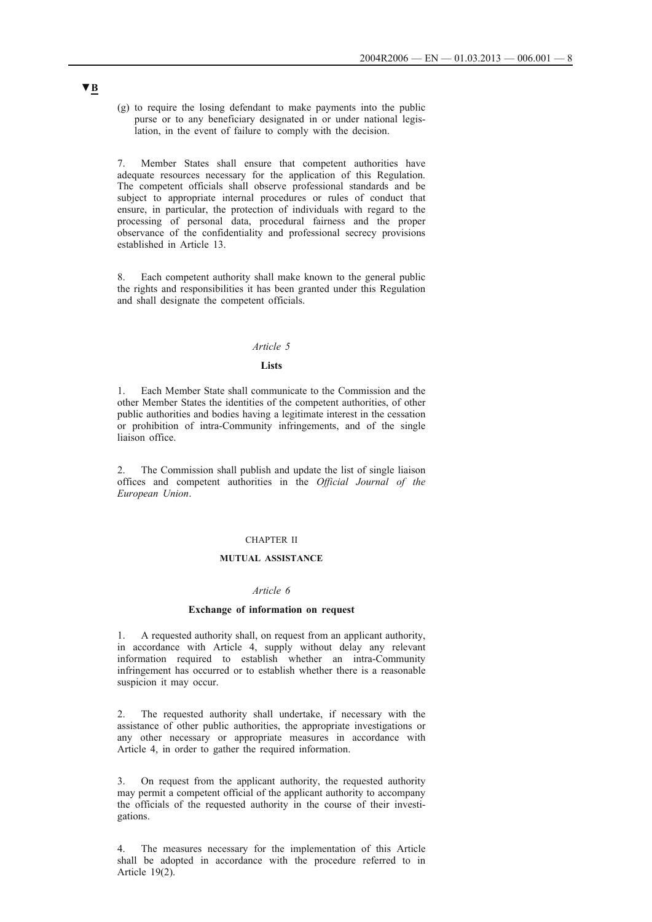(g) to require the losing defendant to make payments into the public purse or to any beneficiary designated in or under national legislation, in the event of failure to comply with the decision.

7. Member States shall ensure that competent authorities have adequate resources necessary for the application of this Regulation. The competent officials shall observe professional standards and be subject to appropriate internal procedures or rules of conduct that ensure, in particular, the protection of individuals with regard to the processing of personal data, procedural fairness and the proper observance of the confidentiality and professional secrecy provisions established in Article 13.

8. Each competent authority shall make known to the general public the rights and responsibilities it has been granted under this Regulation and shall designate the competent officials.

## *Article 5*

### **Lists**

1. Each Member State shall communicate to the Commission and the other Member States the identities of the competent authorities, of other public authorities and bodies having a legitimate interest in the cessation or prohibition of intra-Community infringements, and of the single liaison office.

The Commission shall publish and update the list of single liaison offices and competent authorities in the *Official Journal of the European Union*.

### CHAPTER II

## **MUTUAL ASSISTANCE**

## *Article 6*

## **Exchange of information on request**

1. A requested authority shall, on request from an applicant authority, in accordance with Article 4, supply without delay any relevant information required to establish whether an intra-Community infringement has occurred or to establish whether there is a reasonable suspicion it may occur.

2. The requested authority shall undertake, if necessary with the assistance of other public authorities, the appropriate investigations or any other necessary or appropriate measures in accordance with Article 4, in order to gather the required information.

3. On request from the applicant authority, the requested authority may permit a competent official of the applicant authority to accompany the officials of the requested authority in the course of their investigations.

4. The measures necessary for the implementation of this Article shall be adopted in accordance with the procedure referred to in Article 19(2).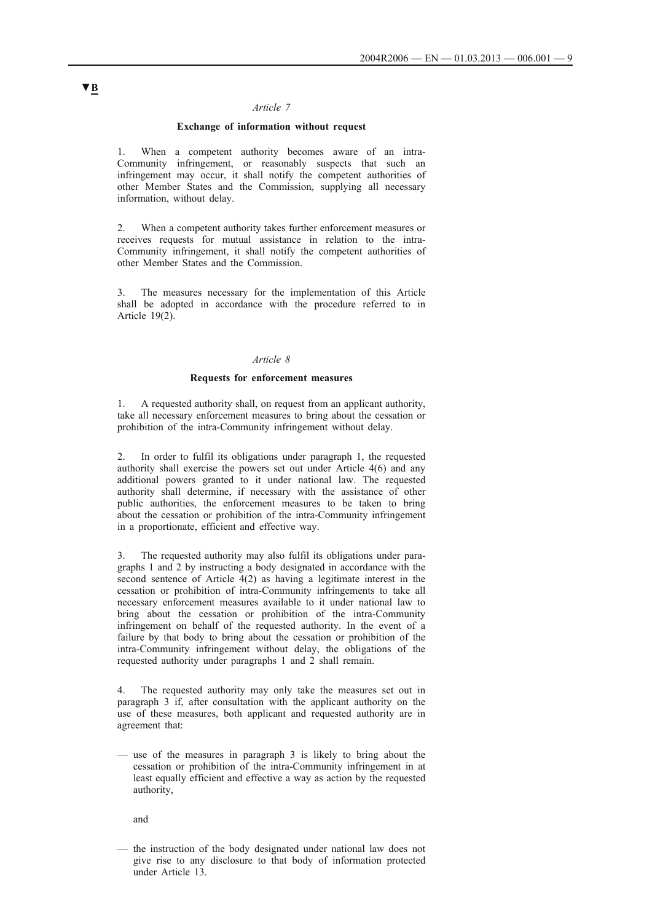### *Article 7*

## **Exchange of information without request**

1. When a competent authority becomes aware of an intra-Community infringement, or reasonably suspects that such an infringement may occur, it shall notify the competent authorities of other Member States and the Commission, supplying all necessary information, without delay.

2. When a competent authority takes further enforcement measures or receives requests for mutual assistance in relation to the intra-Community infringement, it shall notify the competent authorities of other Member States and the Commission.

3. The measures necessary for the implementation of this Article shall be adopted in accordance with the procedure referred to in Article 19(2).

#### *Article 8*

## **Requests for enforcement measures**

1. A requested authority shall, on request from an applicant authority, take all necessary enforcement measures to bring about the cessation or prohibition of the intra-Community infringement without delay.

2. In order to fulfil its obligations under paragraph 1, the requested authority shall exercise the powers set out under Article 4(6) and any additional powers granted to it under national law. The requested authority shall determine, if necessary with the assistance of other public authorities, the enforcement measures to be taken to bring about the cessation or prohibition of the intra-Community infringement in a proportionate, efficient and effective way.

3. The requested authority may also fulfil its obligations under paragraphs 1 and 2 by instructing a body designated in accordance with the second sentence of Article 4(2) as having a legitimate interest in the cessation or prohibition of intra-Community infringements to take all necessary enforcement measures available to it under national law to bring about the cessation or prohibition of the intra-Community infringement on behalf of the requested authority. In the event of a failure by that body to bring about the cessation or prohibition of the intra-Community infringement without delay, the obligations of the requested authority under paragraphs 1 and 2 shall remain.

4. The requested authority may only take the measures set out in paragraph 3 if, after consultation with the applicant authority on the use of these measures, both applicant and requested authority are in agreement that:

— use of the measures in paragraph 3 is likely to bring about the cessation or prohibition of the intra-Community infringement in at least equally efficient and effective a way as action by the requested authority,

and

— the instruction of the body designated under national law does not give rise to any disclosure to that body of information protected under Article 13.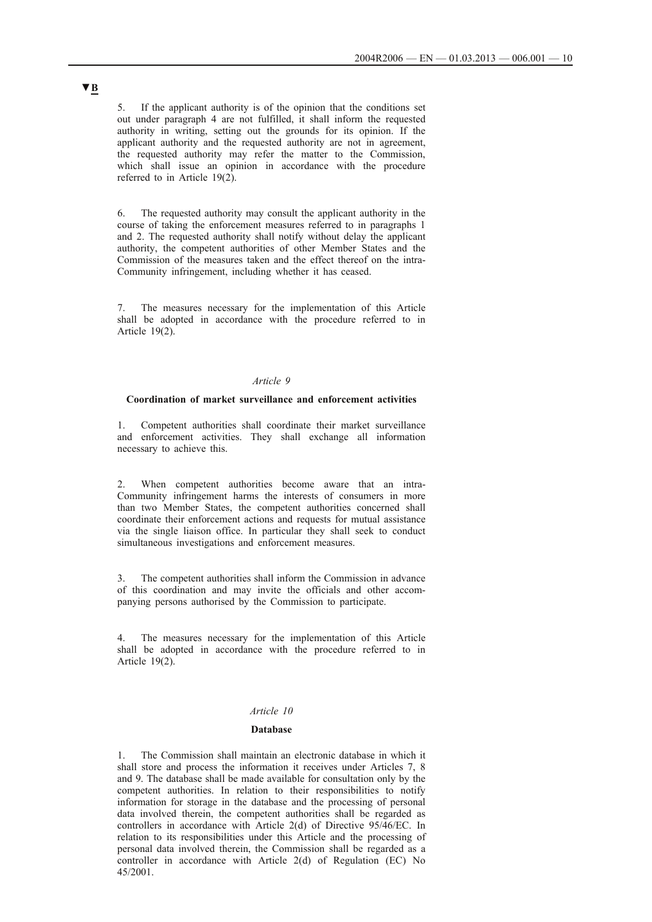5. If the applicant authority is of the opinion that the conditions set out under paragraph 4 are not fulfilled, it shall inform the requested authority in writing, setting out the grounds for its opinion. If the applicant authority and the requested authority are not in agreement, the requested authority may refer the matter to the Commission, which shall issue an opinion in accordance with the procedure referred to in Article 19(2).

6. The requested authority may consult the applicant authority in the course of taking the enforcement measures referred to in paragraphs 1 and 2. The requested authority shall notify without delay the applicant authority, the competent authorities of other Member States and the Commission of the measures taken and the effect thereof on the intra-Community infringement, including whether it has ceased.

7. The measures necessary for the implementation of this Article shall be adopted in accordance with the procedure referred to in Article 19(2).

## *Article 9*

### **Coordination of market surveillance and enforcement activities**

1. Competent authorities shall coordinate their market surveillance and enforcement activities. They shall exchange all information necessary to achieve this.

2. When competent authorities become aware that an intra-Community infringement harms the interests of consumers in more than two Member States, the competent authorities concerned shall coordinate their enforcement actions and requests for mutual assistance via the single liaison office. In particular they shall seek to conduct simultaneous investigations and enforcement measures.

3. The competent authorities shall inform the Commission in advance of this coordination and may invite the officials and other accompanying persons authorised by the Commission to participate.

The measures necessary for the implementation of this Article shall be adopted in accordance with the procedure referred to in Article 19(2).

### *Article 10*

### **Database**

1. The Commission shall maintain an electronic database in which it shall store and process the information it receives under Articles 7, 8 and 9. The database shall be made available for consultation only by the competent authorities. In relation to their responsibilities to notify information for storage in the database and the processing of personal data involved therein, the competent authorities shall be regarded as controllers in accordance with Article 2(d) of Directive 95/46/EC. In relation to its responsibilities under this Article and the processing of personal data involved therein, the Commission shall be regarded as a controller in accordance with Article 2(d) of Regulation (EC) No 45/2001.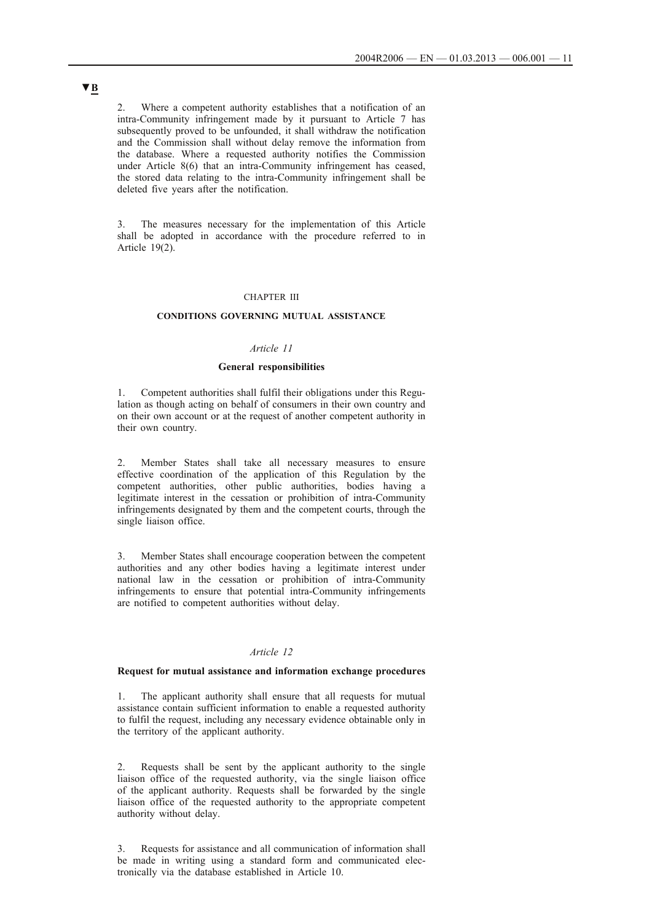2. Where a competent authority establishes that a notification of an intra-Community infringement made by it pursuant to Article 7 has subsequently proved to be unfounded, it shall withdraw the notification and the Commission shall without delay remove the information from the database. Where a requested authority notifies the Commission under Article 8(6) that an intra-Community infringement has ceased, the stored data relating to the intra-Community infringement shall be deleted five years after the notification.

3. The measures necessary for the implementation of this Article shall be adopted in accordance with the procedure referred to in Article 19(2).

#### CHAPTER III

## **CONDITIONS GOVERNING MUTUAL ASSISTANCE**

### *Article 11*

## **General responsibilities**

1. Competent authorities shall fulfil their obligations under this Regulation as though acting on behalf of consumers in their own country and on their own account or at the request of another competent authority in their own country.

2. Member States shall take all necessary measures to ensure effective coordination of the application of this Regulation by the competent authorities, other public authorities, bodies having a legitimate interest in the cessation or prohibition of intra-Community infringements designated by them and the competent courts, through the single liaison office.

3. Member States shall encourage cooperation between the competent authorities and any other bodies having a legitimate interest under national law in the cessation or prohibition of intra-Community infringements to ensure that potential intra-Community infringements are notified to competent authorities without delay.

## *Article 12*

## **Request for mutual assistance and information exchange procedures**

1. The applicant authority shall ensure that all requests for mutual assistance contain sufficient information to enable a requested authority to fulfil the request, including any necessary evidence obtainable only in the territory of the applicant authority.

2. Requests shall be sent by the applicant authority to the single liaison office of the requested authority, via the single liaison office of the applicant authority. Requests shall be forwarded by the single liaison office of the requested authority to the appropriate competent authority without delay.

3. Requests for assistance and all communication of information shall be made in writing using a standard form and communicated electronically via the database established in Article 10.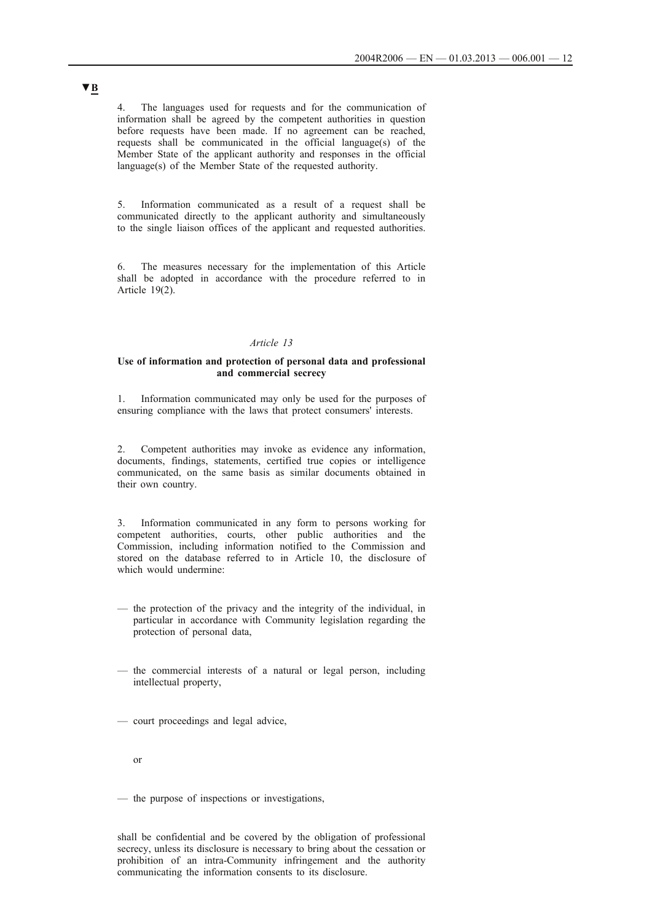4. The languages used for requests and for the communication of information shall be agreed by the competent authorities in question before requests have been made. If no agreement can be reached, requests shall be communicated in the official language(s) of the Member State of the applicant authority and responses in the official language(s) of the Member State of the requested authority.

5. Information communicated as a result of a request shall be communicated directly to the applicant authority and simultaneously to the single liaison offices of the applicant and requested authorities.

6. The measures necessary for the implementation of this Article shall be adopted in accordance with the procedure referred to in Article 19(2).

## *Article 13*

## **Use of information and protection of personal data and professional and commercial secrecy**

1. Information communicated may only be used for the purposes of ensuring compliance with the laws that protect consumers' interests.

2. Competent authorities may invoke as evidence any information, documents, findings, statements, certified true copies or intelligence communicated, on the same basis as similar documents obtained in their own country.

3. Information communicated in any form to persons working for competent authorities, courts, other public authorities and the Commission, including information notified to the Commission and stored on the database referred to in Article 10, the disclosure of which would undermine:

- the protection of the privacy and the integrity of the individual, in particular in accordance with Community legislation regarding the protection of personal data,
- the commercial interests of a natural or legal person, including intellectual property,
- court proceedings and legal advice,
	- or

— the purpose of inspections or investigations,

shall be confidential and be covered by the obligation of professional secrecy, unless its disclosure is necessary to bring about the cessation or prohibition of an intra-Community infringement and the authority communicating the information consents to its disclosure.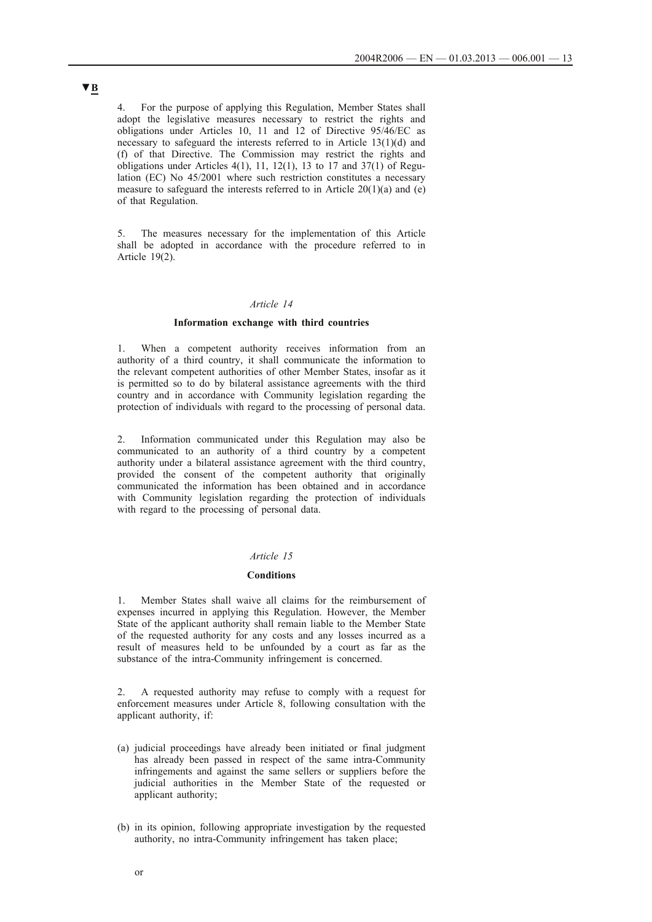4. For the purpose of applying this Regulation, Member States shall adopt the legislative measures necessary to restrict the rights and obligations under Articles 10, 11 and 12 of Directive 95/46/EC as necessary to safeguard the interests referred to in Article 13(1)(d) and (f) of that Directive. The Commission may restrict the rights and obligations under Articles  $4(1)$ ,  $11$ ,  $12(1)$ ,  $13$  to  $17$  and  $37(1)$  of Regulation (EC) No 45/2001 where such restriction constitutes a necessary measure to safeguard the interests referred to in Article  $20(1)(a)$  and (e) of that Regulation.

5. The measures necessary for the implementation of this Article shall be adopted in accordance with the procedure referred to in Article 19(2).

## *Article 14*

## **Information exchange with third countries**

1. When a competent authority receives information from an authority of a third country, it shall communicate the information to the relevant competent authorities of other Member States, insofar as it is permitted so to do by bilateral assistance agreements with the third country and in accordance with Community legislation regarding the protection of individuals with regard to the processing of personal data.

2. Information communicated under this Regulation may also be communicated to an authority of a third country by a competent authority under a bilateral assistance agreement with the third country, provided the consent of the competent authority that originally communicated the information has been obtained and in accordance with Community legislation regarding the protection of individuals with regard to the processing of personal data.

#### *Article 15*

### **Conditions**

1. Member States shall waive all claims for the reimbursement of expenses incurred in applying this Regulation. However, the Member State of the applicant authority shall remain liable to the Member State of the requested authority for any costs and any losses incurred as a result of measures held to be unfounded by a court as far as the substance of the intra-Community infringement is concerned.

2. A requested authority may refuse to comply with a request for enforcement measures under Article 8, following consultation with the applicant authority, if:

- (a) judicial proceedings have already been initiated or final judgment has already been passed in respect of the same intra-Community infringements and against the same sellers or suppliers before the judicial authorities in the Member State of the requested or applicant authority;
- (b) in its opinion, following appropriate investigation by the requested authority, no intra-Community infringement has taken place;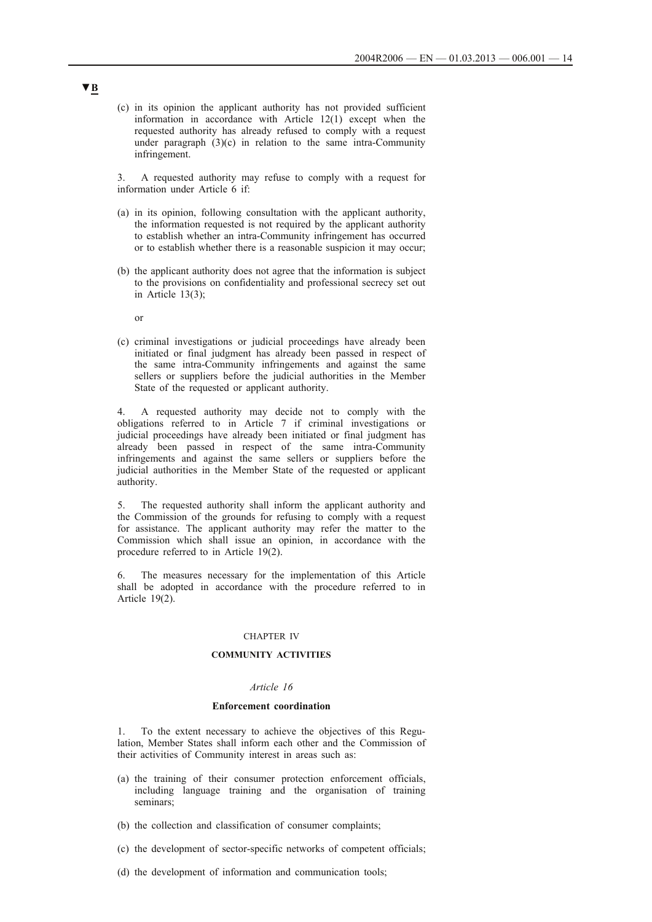(c) in its opinion the applicant authority has not provided sufficient information in accordance with Article 12(1) except when the requested authority has already refused to comply with a request under paragraph  $(3)(c)$  in relation to the same intra-Community infringement.

3. A requested authority may refuse to comply with a request for information under Article 6 if:

- (a) in its opinion, following consultation with the applicant authority, the information requested is not required by the applicant authority to establish whether an intra-Community infringement has occurred or to establish whether there is a reasonable suspicion it may occur;
- (b) the applicant authority does not agree that the information is subject to the provisions on confidentiality and professional secrecy set out in Article 13(3);

or

(c) criminal investigations or judicial proceedings have already been initiated or final judgment has already been passed in respect of the same intra-Community infringements and against the same sellers or suppliers before the judicial authorities in the Member State of the requested or applicant authority.

4. A requested authority may decide not to comply with the obligations referred to in Article 7 if criminal investigations or judicial proceedings have already been initiated or final judgment has already been passed in respect of the same intra-Community infringements and against the same sellers or suppliers before the judicial authorities in the Member State of the requested or applicant authority.

5. The requested authority shall inform the applicant authority and the Commission of the grounds for refusing to comply with a request for assistance. The applicant authority may refer the matter to the Commission which shall issue an opinion, in accordance with the procedure referred to in Article 19(2).

6. The measures necessary for the implementation of this Article shall be adopted in accordance with the procedure referred to in Article 19(2).

#### CHAPTER IV

## **COMMUNITY ACTIVITIES**

### *Article 16*

### **Enforcement coordination**

1. To the extent necessary to achieve the objectives of this Regulation, Member States shall inform each other and the Commission of their activities of Community interest in areas such as:

- (a) the training of their consumer protection enforcement officials, including language training and the organisation of training seminars;
- (b) the collection and classification of consumer complaints;
- (c) the development of sector-specific networks of competent officials;
- (d) the development of information and communication tools;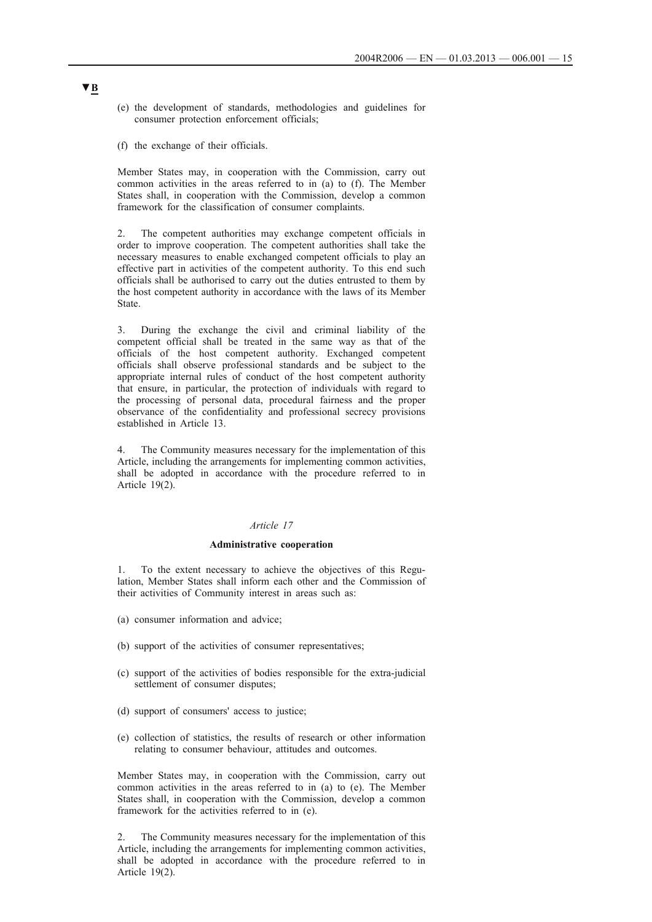- (e) the development of standards, methodologies and guidelines for consumer protection enforcement officials;
- (f) the exchange of their officials.

Member States may, in cooperation with the Commission, carry out common activities in the areas referred to in (a) to (f). The Member States shall, in cooperation with the Commission, develop a common framework for the classification of consumer complaints.

2. The competent authorities may exchange competent officials in order to improve cooperation. The competent authorities shall take the necessary measures to enable exchanged competent officials to play an effective part in activities of the competent authority. To this end such officials shall be authorised to carry out the duties entrusted to them by the host competent authority in accordance with the laws of its Member State.

3. During the exchange the civil and criminal liability of the competent official shall be treated in the same way as that of the officials of the host competent authority. Exchanged competent officials shall observe professional standards and be subject to the appropriate internal rules of conduct of the host competent authority that ensure, in particular, the protection of individuals with regard to the processing of personal data, procedural fairness and the proper observance of the confidentiality and professional secrecy provisions established in Article 13.

4. The Community measures necessary for the implementation of this Article, including the arrangements for implementing common activities, shall be adopted in accordance with the procedure referred to in Article 19(2).

### *Article 17*

### **Administrative cooperation**

1. To the extent necessary to achieve the objectives of this Regulation, Member States shall inform each other and the Commission of their activities of Community interest in areas such as:

- (a) consumer information and advice;
- (b) support of the activities of consumer representatives;
- (c) support of the activities of bodies responsible for the extra-judicial settlement of consumer disputes;
- (d) support of consumers' access to justice;
- (e) collection of statistics, the results of research or other information relating to consumer behaviour, attitudes and outcomes.

Member States may, in cooperation with the Commission, carry out common activities in the areas referred to in (a) to (e). The Member States shall, in cooperation with the Commission, develop a common framework for the activities referred to in (e).

2. The Community measures necessary for the implementation of this Article, including the arrangements for implementing common activities, shall be adopted in accordance with the procedure referred to in Article 19(2).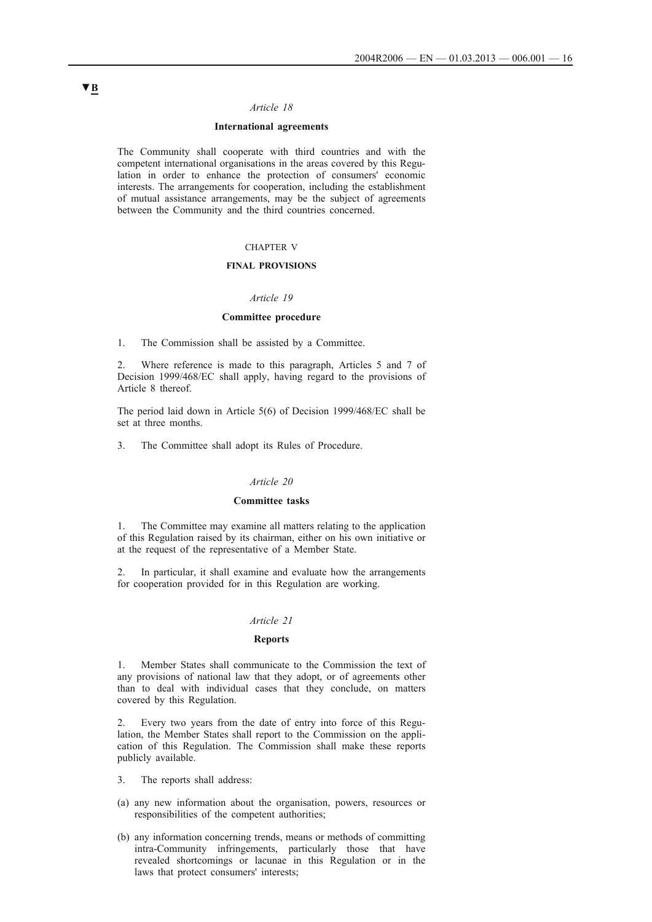### *Article 18*

### **International agreements**

The Community shall cooperate with third countries and with the competent international organisations in the areas covered by this Regulation in order to enhance the protection of consumers' economic interests. The arrangements for cooperation, including the establishment of mutual assistance arrangements, may be the subject of agreements between the Community and the third countries concerned.

## CHAPTER V

#### **FINAL PROVISIONS**

## *Article 19*

## **Committee procedure**

1. The Commission shall be assisted by a Committee.

2. Where reference is made to this paragraph, Articles 5 and 7 of Decision 1999/468/EC shall apply, having regard to the provisions of Article 8 thereof.

The period laid down in Article 5(6) of Decision 1999/468/EC shall be set at three months.

3. The Committee shall adopt its Rules of Procedure.

#### *Article 20*

### **Committee tasks**

1. The Committee may examine all matters relating to the application of this Regulation raised by its chairman, either on his own initiative or at the request of the representative of a Member State.

2. In particular, it shall examine and evaluate how the arrangements for cooperation provided for in this Regulation are working.

## *Article 21*

### **Reports**

1. Member States shall communicate to the Commission the text of any provisions of national law that they adopt, or of agreements other than to deal with individual cases that they conclude, on matters covered by this Regulation.

2. Every two years from the date of entry into force of this Regulation, the Member States shall report to the Commission on the application of this Regulation. The Commission shall make these reports publicly available.

- 3. The reports shall address:
- (a) any new information about the organisation, powers, resources or responsibilities of the competent authorities;
- (b) any information concerning trends, means or methods of committing intra-Community infringements, particularly those that have revealed shortcomings or lacunae in this Regulation or in the laws that protect consumers' interests;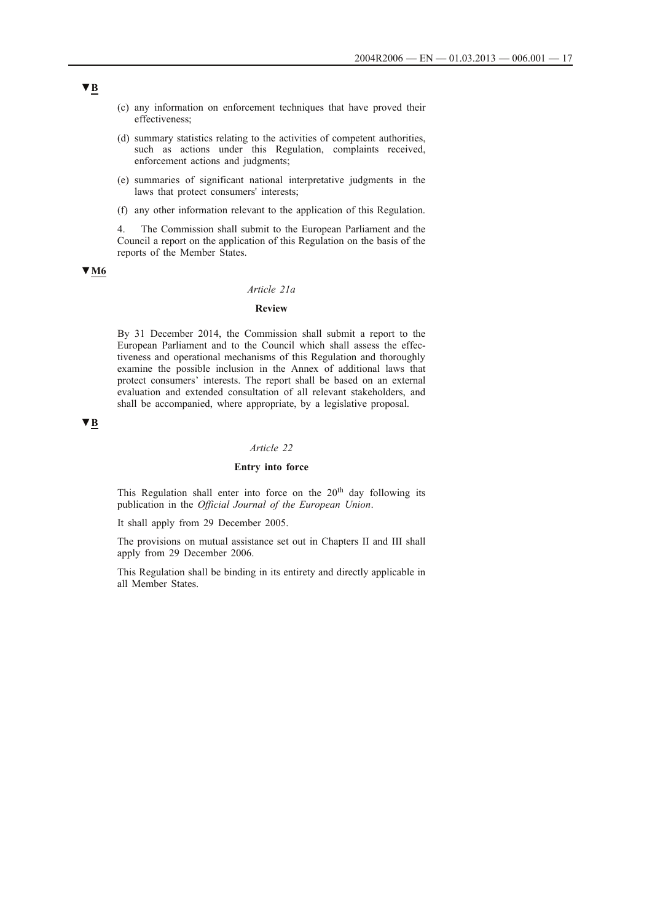- (c) any information on enforcement techniques that have proved their effectiveness;
- (d) summary statistics relating to the activities of competent authorities, such as actions under this Regulation, complaints received, enforcement actions and judgments;
- (e) summaries of significant national interpretative judgments in the laws that protect consumers' interests;
- (f) any other information relevant to the application of this Regulation.

4. The Commission shall submit to the European Parliament and the Council a report on the application of this Regulation on the basis of the reports of the Member States.

## **▼M6**

### *Article 21a*

## **Review**

By 31 December 2014, the Commission shall submit a report to the European Parliament and to the Council which shall assess the effectiveness and operational mechanisms of this Regulation and thoroughly examine the possible inclusion in the Annex of additional laws that protect consumers' interests. The report shall be based on an external evaluation and extended consultation of all relevant stakeholders, and shall be accompanied, where appropriate, by a legislative proposal.

## **▼B**

## *Article 22*

## **Entry into force**

This Regulation shall enter into force on the  $20<sup>th</sup>$  day following its publication in the *Official Journal of the European Union*.

It shall apply from 29 December 2005.

The provisions on mutual assistance set out in Chapters II and III shall apply from 29 December 2006.

This Regulation shall be binding in its entirety and directly applicable in all Member States.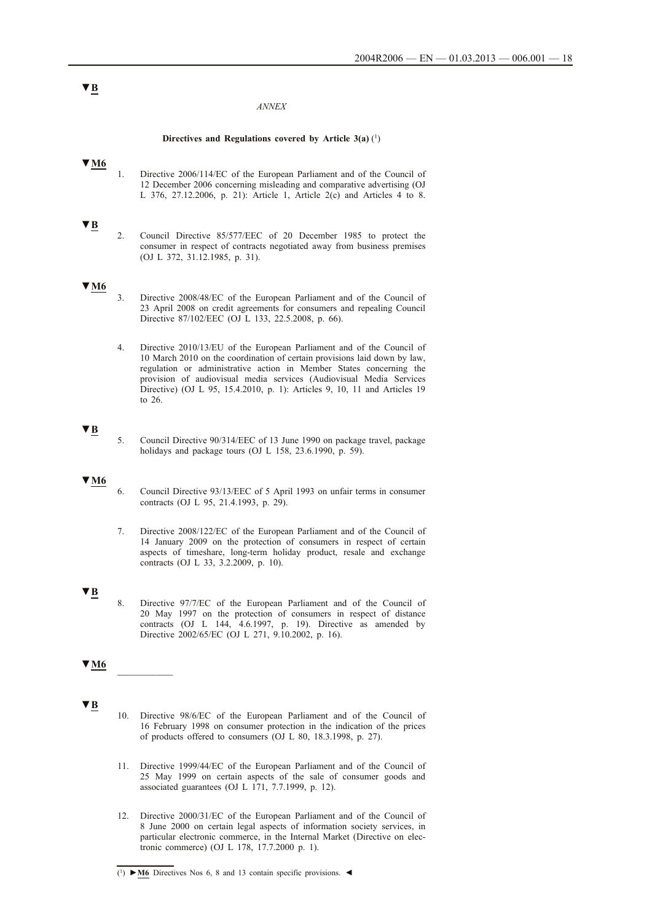#### *ANNEX*

### **Directives and Regulations covered by Article 3(a)** (1)

# **▼M6**

1. Directive 2006/114/EC of the European Parliament and of the Council of 12 December 2006 concerning misleading and comparative advertising (OJ L 376, 27.12.2006, p. 21): Article 1, Article 2(c) and Articles 4 to 8.

### **▼B**

2. Council Directive 85/577/EEC of 20 December 1985 to protect the consumer in respect of contracts negotiated away from business premises (OJ L 372, 31.12.1985, p. 31).

## **▼M6**

- 3. Directive 2008/48/EC of the European Parliament and of the Council of 23 April 2008 on credit agreements for consumers and repealing Council Directive 87/102/EEC (OJ L 133, 22.5.2008, p. 66).
- 4. Directive 2010/13/EU of the European Parliament and of the Council of 10 March 2010 on the coordination of certain provisions laid down by law, regulation or administrative action in Member States concerning the provision of audiovisual media services (Audiovisual Media Services Directive) (OJ L 95, 15.4.2010, p. 1): Articles 9, 10, 11 and Articles 19 to 26.

## **▼B**

5. Council Directive 90/314/EEC of 13 June 1990 on package travel, package holidays and package tours (OJ L 158, 23.6.1990, p. 59).

#### **▼M6**

- 6. Council Directive 93/13/EEC of 5 April 1993 on unfair terms in consumer contracts (OJ L 95, 21.4.1993, p. 29).
- 7. Directive 2008/122/EC of the European Parliament and of the Council of 14 January 2009 on the protection of consumers in respect of certain aspects of timeshare, long-term holiday product, resale and exchange contracts (OJ L 33, 3.2.2009, p. 10).

## **▼B**

8. Directive 97/7/EC of the European Parliament and of the Council of 20 May 1997 on the protection of consumers in respect of distance contracts (OJ L 144, 4.6.1997, p. 19). Directive as amended by Directive 2002/65/EC (OJ L 271, 9.10.2002, p. 16).

## **▼M6** \_\_\_\_\_\_\_\_\_\_

## **▼B**

- 10. Directive 98/6/EC of the European Parliament and of the Council of 16 February 1998 on consumer protection in the indication of the prices of products offered to consumers (OJ L 80, 18.3.1998, p. 27).
- 11. Directive 1999/44/EC of the European Parliament and of the Council of 25 May 1999 on certain aspects of the sale of consumer goods and associated guarantees (OJ L 171, 7.7.1999, p. 12).
- 12. Directive 2000/31/EC of the European Parliament and of the Council of 8 June 2000 on certain legal aspects of information society services, in particular electronic commerce, in the Internal Market (Directive on electronic commerce) (OJ L 178, 17.7.2000 p. 1).

<sup>(1)</sup> **►M6** Directives Nos 6, 8 and 13 contain specific provisions. ◄